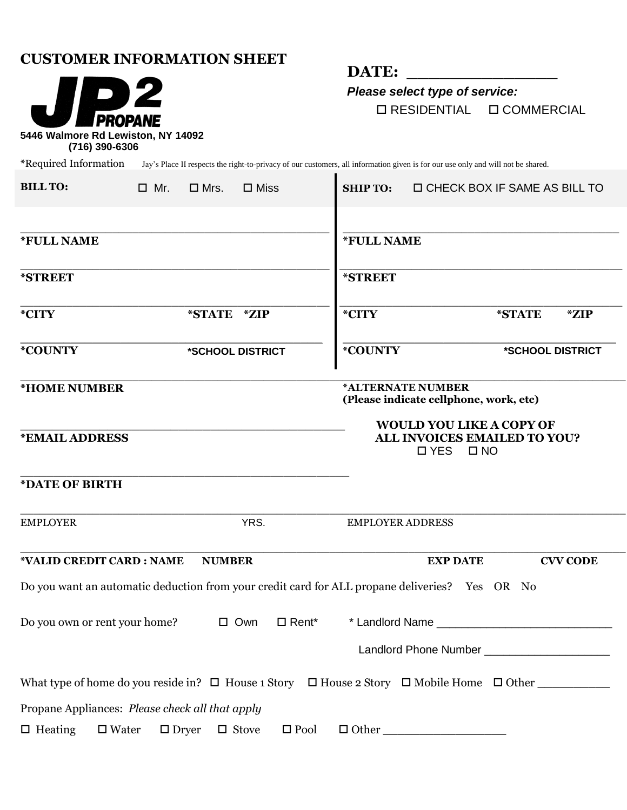# **CUSTOMER INFORMATION SHEET**



DATE:

*Please select type of service:* RESIDENTIAL COMMERCIAL

**\***Required Information Jay's Place II respects the right-to-privacy of our customers, all information given is for our use only and will not be shared.

| <b>BILL TO:</b>         | $\Box$ Mr.                                                                                                    | $\square$ Mrs. | $\square$ Miss   |                          | <b>SHIP TO:</b>                                                                                  | <b>D CHECK BOX IF SAME AS BILL TO</b>        |        |                  |
|-------------------------|---------------------------------------------------------------------------------------------------------------|----------------|------------------|--------------------------|--------------------------------------------------------------------------------------------------|----------------------------------------------|--------|------------------|
| *FULL NAME              |                                                                                                               |                |                  |                          | *FULL NAME                                                                                       |                                              |        |                  |
| *STREET                 |                                                                                                               |                |                  |                          | *STREET                                                                                          |                                              |        |                  |
| *CITY                   |                                                                                                               | *STATE *ZIP    |                  |                          | *CITY                                                                                            |                                              | *STATE | *ZIP             |
| *COUNTY                 |                                                                                                               |                | *SCHOOL DISTRICT |                          | *COUNTY                                                                                          |                                              |        | *SCHOOL DISTRICT |
| <b>*HOME NUMBER</b>     |                                                                                                               |                |                  |                          | *ALTERNATE NUMBER<br>(Please indicate cellphone, work, etc)                                      |                                              |        |                  |
| <b>*EMAIL ADDRESS</b>   |                                                                                                               |                |                  |                          | <b>WOULD YOU LIKE A COPY OF</b><br>ALL INVOICES EMAILED TO YOU?<br>$\square$ YES<br>$\square$ NO |                                              |        |                  |
| *DATE OF BIRTH          |                                                                                                               |                |                  |                          |                                                                                                  |                                              |        |                  |
| YRS.<br><b>EMPLOYER</b> |                                                                                                               |                |                  |                          | <b>EMPLOYER ADDRESS</b>                                                                          |                                              |        |                  |
|                         | *VALID CREDIT CARD : NAME                                                                                     | <b>NUMBER</b>  |                  |                          |                                                                                                  | <b>EXP DATE</b>                              |        | <b>CVV CODE</b>  |
|                         | Do you want an automatic deduction from your credit card for ALL propane deliveries? Yes OR No                |                |                  |                          |                                                                                                  |                                              |        |                  |
|                         | Do you own or rent your home?                                                                                 |                | $\square$ Own    | $\Box$ Rent <sup>*</sup> |                                                                                                  | * Landlord Name _______                      |        |                  |
|                         |                                                                                                               |                |                  |                          |                                                                                                  | Landlord Phone Number ______________________ |        |                  |
|                         | What type of home do you reside in? $\Box$ House 1 Story $\Box$ House 2 Story $\Box$ Mobile Home $\Box$ Other |                |                  |                          |                                                                                                  |                                              |        |                  |
|                         | Propane Appliances: Please check all that apply                                                               |                |                  |                          |                                                                                                  |                                              |        |                  |
| $\Box$ Heating          | $\square$ Water                                                                                               | $\Box$ Dryer   | $\Box$ Stove     | $\square$ Pool           | $\Box$ Other                                                                                     |                                              |        |                  |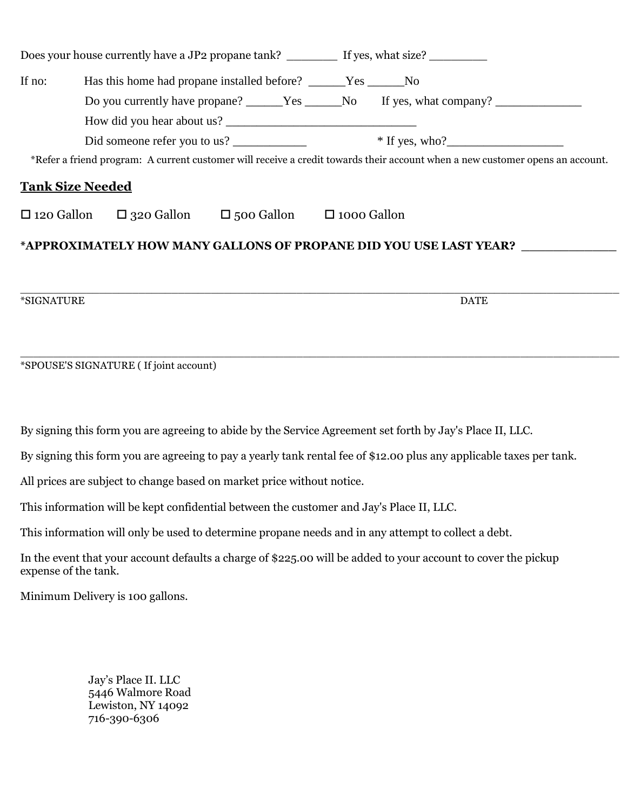| If no:                                                                                                                        | Has this home had propane installed before? _____Yes _____No                                              |                                                                                                                      |  |  |  |  |  |
|-------------------------------------------------------------------------------------------------------------------------------|-----------------------------------------------------------------------------------------------------------|----------------------------------------------------------------------------------------------------------------------|--|--|--|--|--|
|                                                                                                                               |                                                                                                           | Do you currently have propane? _____Yes _____No If yes, what company? ___________                                    |  |  |  |  |  |
|                                                                                                                               |                                                                                                           |                                                                                                                      |  |  |  |  |  |
|                                                                                                                               |                                                                                                           |                                                                                                                      |  |  |  |  |  |
| *Refer a friend program: A current customer will receive a credit towards their account when a new customer opens an account. |                                                                                                           |                                                                                                                      |  |  |  |  |  |
|                                                                                                                               | <b>Tank Size Needed</b>                                                                                   |                                                                                                                      |  |  |  |  |  |
|                                                                                                                               | $\Box$ 120 Gallon $\Box$ 320 Gallon $\Box$ 500 Gallon $\Box$ 1000 Gallon                                  |                                                                                                                      |  |  |  |  |  |
|                                                                                                                               |                                                                                                           | *APPROXIMATELY HOW MANY GALLONS OF PROPANE DID YOU USE LAST YEAR? ______________                                     |  |  |  |  |  |
| *SIGNATURE                                                                                                                    |                                                                                                           | <b>DATE</b>                                                                                                          |  |  |  |  |  |
|                                                                                                                               |                                                                                                           |                                                                                                                      |  |  |  |  |  |
|                                                                                                                               | *SPOUSE'S SIGNATURE (If joint account)                                                                    |                                                                                                                      |  |  |  |  |  |
|                                                                                                                               |                                                                                                           |                                                                                                                      |  |  |  |  |  |
|                                                                                                                               | By signing this form you are agreeing to abide by the Service Agreement set forth by Jay's Place II, LLC. |                                                                                                                      |  |  |  |  |  |
|                                                                                                                               |                                                                                                           | By signing this form you are agreeing to pay a yearly tank rental fee of \$12.00 plus any applicable taxes per tank. |  |  |  |  |  |

All prices are subject to change based on market price without notice.

This information will be kept confidential between the customer and Jay's Place II, LLC.

This information will only be used to determine propane needs and in any attempt to collect a debt.

In the event that your account defaults a charge of \$225.00 will be added to your account to cover the pickup expense of the tank.

Minimum Delivery is 100 gallons.

Jay's Place II. LLC 5446 Walmore Road Lewiston, NY 14092 716-390-6306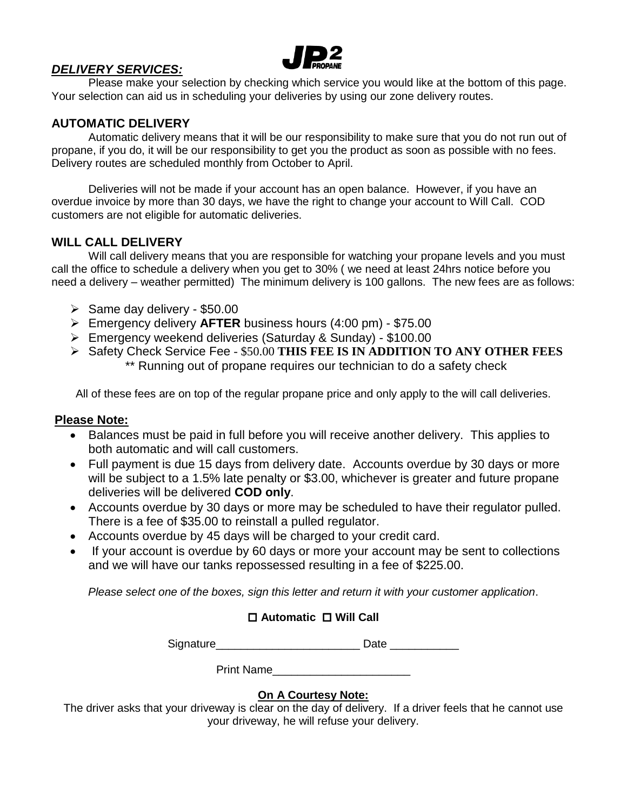

## *DELIVERY SERVICES:*

Please make your selection by checking which service you would like at the bottom of this page. Your selection can aid us in scheduling your deliveries by using our zone delivery routes.

# **AUTOMATIC DELIVERY**

Automatic delivery means that it will be our responsibility to make sure that you do not run out of propane, if you do, it will be our responsibility to get you the product as soon as possible with no fees. Delivery routes are scheduled monthly from October to April.

Deliveries will not be made if your account has an open balance. However, if you have an overdue invoice by more than 30 days, we have the right to change your account to Will Call. COD customers are not eligible for automatic deliveries.

### **WILL CALL DELIVERY**

Will call delivery means that you are responsible for watching your propane levels and you must call the office to schedule a delivery when you get to 30% ( we need at least 24hrs notice before you need a delivery – weather permitted) The minimum delivery is 100 gallons. The new fees are as follows:

- $\geq$  Same day delivery \$50.00
- Emergency delivery **AFTER** business hours (4:00 pm) \$75.00
- Emergency weekend deliveries (Saturday & Sunday) \$100.00
- Safety Check Service Fee \$50.00 **THIS FEE IS IN ADDITION TO ANY OTHER FEES** \*\* Running out of propane requires our technician to do a safety check

All of these fees are on top of the regular propane price and only apply to the will call deliveries.

#### **Please Note:**

- Balances must be paid in full before you will receive another delivery. This applies to both automatic and will call customers.
- Full payment is due 15 days from delivery date. Accounts overdue by 30 days or more will be subject to a 1.5% late penalty or \$3.00, whichever is greater and future propane deliveries will be delivered **COD only**.
- Accounts overdue by 30 days or more may be scheduled to have their regulator pulled. There is a fee of \$35.00 to reinstall a pulled regulator.
- Accounts overdue by 45 days will be charged to your credit card.
- If your account is overdue by 60 days or more your account may be sent to collections and we will have our tanks repossessed resulting in a fee of \$225.00.

*Please select one of the boxes, sign this letter and return it with your customer application*.

### **Automatic Will Call**

Signature\_\_\_\_\_\_\_\_\_\_\_\_\_\_\_\_\_\_\_\_\_\_\_\_\_\_\_\_\_\_\_\_ Date \_\_\_\_\_\_\_\_\_\_\_\_\_\_\_

Print Name

### **On A Courtesy Note:**

The driver asks that your driveway is clear on the day of delivery. If a driver feels that he cannot use your driveway, he will refuse your delivery.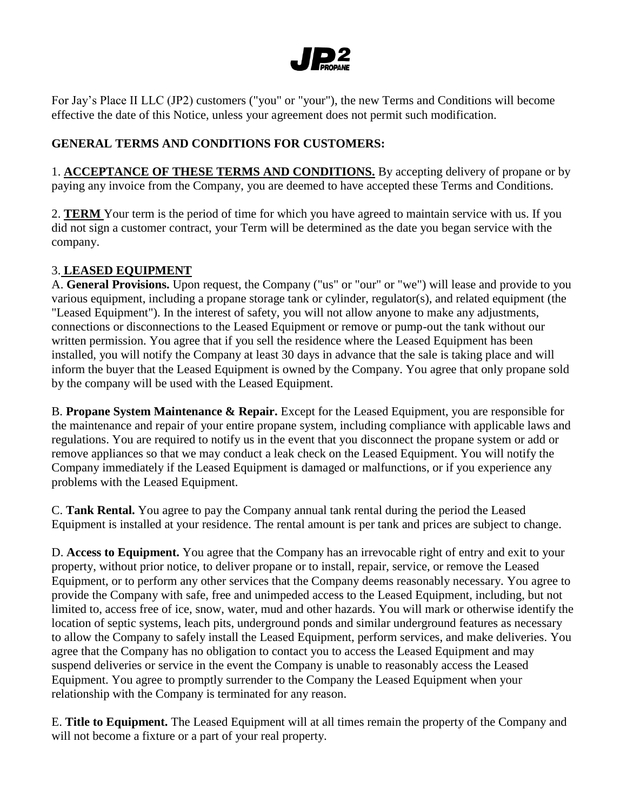

For Jay's Place II LLC (JP2) customers ("you" or "your"), the new Terms and Conditions will become effective the date of this Notice, unless your agreement does not permit such modification.

### **GENERAL TERMS AND CONDITIONS FOR CUSTOMERS:**

1. **ACCEPTANCE OF THESE TERMS AND CONDITIONS.** By accepting delivery of propane or by paying any invoice from the Company, you are deemed to have accepted these Terms and Conditions.

2. **TERM** Your term is the period of time for which you have agreed to maintain service with us. If you did not sign a customer contract, your Term will be determined as the date you began service with the company.

### 3. **LEASED EQUIPMENT**

A. **General Provisions.** Upon request, the Company ("us" or "our" or "we") will lease and provide to you various equipment, including a propane storage tank or cylinder, regulator(s), and related equipment (the "Leased Equipment"). In the interest of safety, you will not allow anyone to make any adjustments, connections or disconnections to the Leased Equipment or remove or pump-out the tank without our written permission. You agree that if you sell the residence where the Leased Equipment has been installed, you will notify the Company at least 30 days in advance that the sale is taking place and will inform the buyer that the Leased Equipment is owned by the Company. You agree that only propane sold by the company will be used with the Leased Equipment.

B. **Propane System Maintenance & Repair.** Except for the Leased Equipment, you are responsible for the maintenance and repair of your entire propane system, including compliance with applicable laws and regulations. You are required to notify us in the event that you disconnect the propane system or add or remove appliances so that we may conduct a leak check on the Leased Equipment. You will notify the Company immediately if the Leased Equipment is damaged or malfunctions, or if you experience any problems with the Leased Equipment.

C. **Tank Rental.** You agree to pay the Company annual tank rental during the period the Leased Equipment is installed at your residence. The rental amount is per tank and prices are subject to change.

D. **Access to Equipment.** You agree that the Company has an irrevocable right of entry and exit to your property, without prior notice, to deliver propane or to install, repair, service, or remove the Leased Equipment, or to perform any other services that the Company deems reasonably necessary. You agree to provide the Company with safe, free and unimpeded access to the Leased Equipment, including, but not limited to, access free of ice, snow, water, mud and other hazards. You will mark or otherwise identify the location of septic systems, leach pits, underground ponds and similar underground features as necessary to allow the Company to safely install the Leased Equipment, perform services, and make deliveries. You agree that the Company has no obligation to contact you to access the Leased Equipment and may suspend deliveries or service in the event the Company is unable to reasonably access the Leased Equipment. You agree to promptly surrender to the Company the Leased Equipment when your relationship with the Company is terminated for any reason.

E. **Title to Equipment.** The Leased Equipment will at all times remain the property of the Company and will not become a fixture or a part of your real property.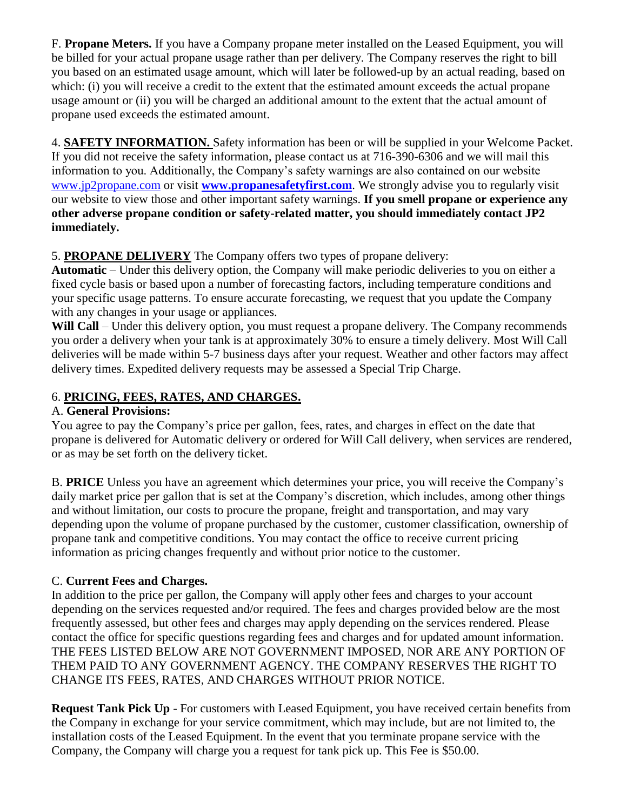F. **Propane Meters.** If you have a Company propane meter installed on the Leased Equipment, you will be billed for your actual propane usage rather than per delivery. The Company reserves the right to bill you based on an estimated usage amount, which will later be followed-up by an actual reading, based on which: (i) you will receive a credit to the extent that the estimated amount exceeds the actual propane usage amount or (ii) you will be charged an additional amount to the extent that the actual amount of propane used exceeds the estimated amount.

4. **SAFETY INFORMATION.** Safety information has been or will be supplied in your Welcome Packet. If you did not receive the safety information, please contact us at 716-390-6306 and we will mail this information to you. Additionally, the Company's safety warnings are also contained on our website [www.jp2propane.com](http://www.jp2propane.com/) or visit **[www.propanesafetyfirst.com](http://www.propanesafetyfirst.com/)**. We strongly advise you to regularly visit our website to view those and other important safety warnings. **If you smell propane or experience any other adverse propane condition or safety-related matter, you should immediately contact JP2 immediately.**

# 5. **PROPANE DELIVERY** The Company offers two types of propane delivery:

**Automatic** – Under this delivery option, the Company will make periodic deliveries to you on either a fixed cycle basis or based upon a number of forecasting factors, including temperature conditions and your specific usage patterns. To ensure accurate forecasting, we request that you update the Company with any changes in your usage or appliances.

Will **Call** – Under this delivery option, you must request a propane delivery. The Company recommends you order a delivery when your tank is at approximately 30% to ensure a timely delivery. Most Will Call deliveries will be made within 5-7 business days after your request. Weather and other factors may affect delivery times. Expedited delivery requests may be assessed a Special Trip Charge.

## 6. **PRICING, FEES, RATES, AND CHARGES.**

### A. **General Provisions:**

You agree to pay the Company's price per gallon, fees, rates, and charges in effect on the date that propane is delivered for Automatic delivery or ordered for Will Call delivery, when services are rendered, or as may be set forth on the delivery ticket.

B. **PRICE** Unless you have an agreement which determines your price, you will receive the Company's daily market price per gallon that is set at the Company's discretion, which includes, among other things and without limitation, our costs to procure the propane, freight and transportation, and may vary depending upon the volume of propane purchased by the customer, customer classification, ownership of propane tank and competitive conditions. You may contact the office to receive current pricing information as pricing changes frequently and without prior notice to the customer.

### C. **Current Fees and Charges.**

In addition to the price per gallon, the Company will apply other fees and charges to your account depending on the services requested and/or required. The fees and charges provided below are the most frequently assessed, but other fees and charges may apply depending on the services rendered. Please contact the office for specific questions regarding fees and charges and for updated amount information. THE FEES LISTED BELOW ARE NOT GOVERNMENT IMPOSED, NOR ARE ANY PORTION OF THEM PAID TO ANY GOVERNMENT AGENCY. THE COMPANY RESERVES THE RIGHT TO CHANGE ITS FEES, RATES, AND CHARGES WITHOUT PRIOR NOTICE.

**Request Tank Pick Up** - For customers with Leased Equipment, you have received certain benefits from the Company in exchange for your service commitment, which may include, but are not limited to, the installation costs of the Leased Equipment. In the event that you terminate propane service with the Company, the Company will charge you a request for tank pick up. This Fee is \$50.00.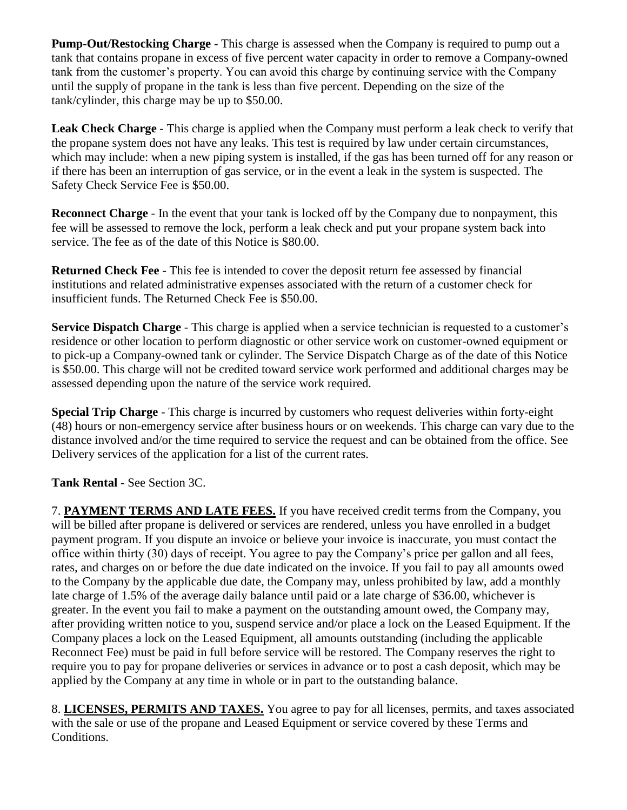**Pump-Out/Restocking Charge** - This charge is assessed when the Company is required to pump out a tank that contains propane in excess of five percent water capacity in order to remove a Company-owned tank from the customer's property. You can avoid this charge by continuing service with the Company until the supply of propane in the tank is less than five percent. Depending on the size of the tank/cylinder, this charge may be up to \$50.00.

**Leak Check Charge** - This charge is applied when the Company must perform a leak check to verify that the propane system does not have any leaks. This test is required by law under certain circumstances, which may include: when a new piping system is installed, if the gas has been turned off for any reason or if there has been an interruption of gas service, or in the event a leak in the system is suspected. The Safety Check Service Fee is \$50.00.

**Reconnect Charge** - In the event that your tank is locked off by the Company due to nonpayment, this fee will be assessed to remove the lock, perform a leak check and put your propane system back into service. The fee as of the date of this Notice is \$80.00.

**Returned Check Fee** - This fee is intended to cover the deposit return fee assessed by financial institutions and related administrative expenses associated with the return of a customer check for insufficient funds. The Returned Check Fee is \$50.00.

**Service Dispatch Charge** - This charge is applied when a service technician is requested to a customer's residence or other location to perform diagnostic or other service work on customer-owned equipment or to pick-up a Company-owned tank or cylinder. The Service Dispatch Charge as of the date of this Notice is \$50.00. This charge will not be credited toward service work performed and additional charges may be assessed depending upon the nature of the service work required.

**Special Trip Charge** - This charge is incurred by customers who request deliveries within forty-eight (48) hours or non-emergency service after business hours or on weekends. This charge can vary due to the distance involved and/or the time required to service the request and can be obtained from the office. See Delivery services of the application for a list of the current rates.

**Tank Rental** - See Section 3C.

7. **PAYMENT TERMS AND LATE FEES.** If you have received credit terms from the Company, you will be billed after propane is delivered or services are rendered, unless you have enrolled in a budget payment program. If you dispute an invoice or believe your invoice is inaccurate, you must contact the office within thirty (30) days of receipt. You agree to pay the Company's price per gallon and all fees, rates, and charges on or before the due date indicated on the invoice. If you fail to pay all amounts owed to the Company by the applicable due date, the Company may, unless prohibited by law, add a monthly late charge of 1.5% of the average daily balance until paid or a late charge of \$36.00, whichever is greater. In the event you fail to make a payment on the outstanding amount owed, the Company may, after providing written notice to you, suspend service and/or place a lock on the Leased Equipment. If the Company places a lock on the Leased Equipment, all amounts outstanding (including the applicable Reconnect Fee) must be paid in full before service will be restored. The Company reserves the right to require you to pay for propane deliveries or services in advance or to post a cash deposit, which may be applied by the Company at any time in whole or in part to the outstanding balance.

8. **LICENSES, PERMITS AND TAXES.** You agree to pay for all licenses, permits, and taxes associated with the sale or use of the propane and Leased Equipment or service covered by these Terms and Conditions.